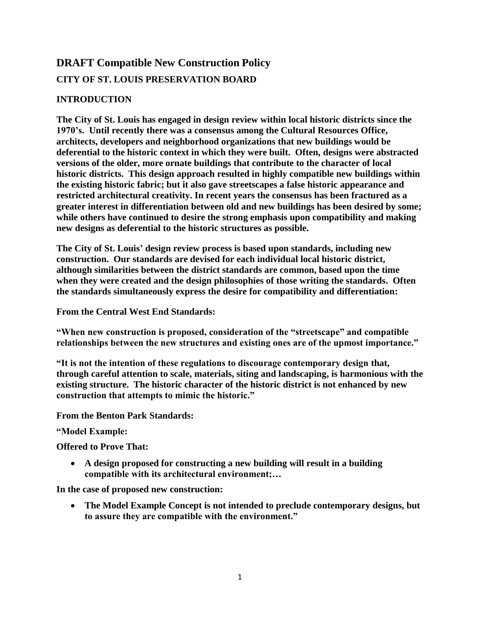# **DRAFT Compatible New Construction Policy CITY OF ST. LOUIS PRESERVATION BOARD**

## **INTRODUCTION**

**The City of St. Louis has engaged in design review within local historic districts since the 1970's. Until recently there was a consensus among the Cultural Resources Office, architects, developers and neighborhood organizations that new buildings would be deferential to the historic context in which they were built. Often, designs were abstracted versions of the older, more ornate buildings that contribute to the character of local historic districts. This design approach resulted in highly compatible new buildings within the existing historic fabric; but it also gave streetscapes a false historic appearance and restricted architectural creativity. In recent years the consensus has been fractured as a greater interest in differentiation between old and new buildings has been desired by some; while others have continued to desire the strong emphasis upon compatibility and making new designs as deferential to the historic structures as possible.**

**The City of St. Louis' design review process is based upon standards, including new construction. Our standards are devised for each individual local historic district, although similarities between the district standards are common, based upon the time when they were created and the design philosophies of those writing the standards. Often the standards simultaneously express the desire for compatibility and differentiation:**

**From the Central West End Standards:**

**"When new construction is proposed, consideration of the "streetscape" and compatible relationships between the new structures and existing ones are of the upmost importance."**

**"It is not the intention of these regulations to discourage contemporary design that, through careful attention to scale, materials, siting and landscaping, is harmonious with the existing structure. The historic character of the historic district is not enhanced by new construction that attempts to mimic the historic."**

**From the Benton Park Standards:**

**"Model Example:**

**Offered to Prove That:**

 **A design proposed for constructing a new building will result in a building compatible with its architectural environment;…**

**In the case of proposed new construction:**

 **The Model Example Concept is not intended to preclude contemporary designs, but to assure they are compatible with the environment."**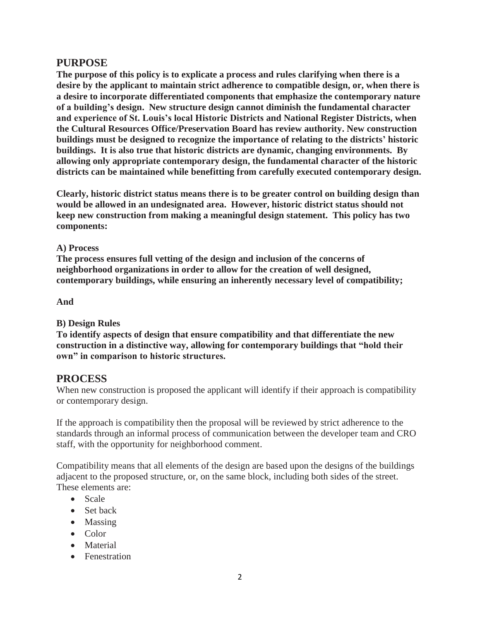## **PURPOSE**

**The purpose of this policy is to explicate a process and rules clarifying when there is a desire by the applicant to maintain strict adherence to compatible design, or, when there is a desire to incorporate differentiated components that emphasize the contemporary nature of a building's design. New structure design cannot diminish the fundamental character and experience of St. Louis's local Historic Districts and National Register Districts, when the Cultural Resources Office/Preservation Board has review authority. New construction buildings must be designed to recognize the importance of relating to the districts' historic buildings. It is also true that historic districts are dynamic, changing environments. By allowing only appropriate contemporary design, the fundamental character of the historic districts can be maintained while benefitting from carefully executed contemporary design.** 

**Clearly, historic district status means there is to be greater control on building design than would be allowed in an undesignated area. However, historic district status should not keep new construction from making a meaningful design statement. This policy has two components:**

### **A) Process**

**The process ensures full vetting of the design and inclusion of the concerns of neighborhood organizations in order to allow for the creation of well designed, contemporary buildings, while ensuring an inherently necessary level of compatibility;** 

**And**

## **B) Design Rules**

**To identify aspects of design that ensure compatibility and that differentiate the new construction in a distinctive way, allowing for contemporary buildings that "hold their own" in comparison to historic structures.** 

## **PROCESS**

When new construction is proposed the applicant will identify if their approach is compatibility or contemporary design.

If the approach is compatibility then the proposal will be reviewed by strict adherence to the standards through an informal process of communication between the developer team and CRO staff, with the opportunity for neighborhood comment.

Compatibility means that all elements of the design are based upon the designs of the buildings adjacent to the proposed structure, or, on the same block, including both sides of the street. These elements are:

- Scale
- Set back
- Massing
- Color
- Material
- Fenestration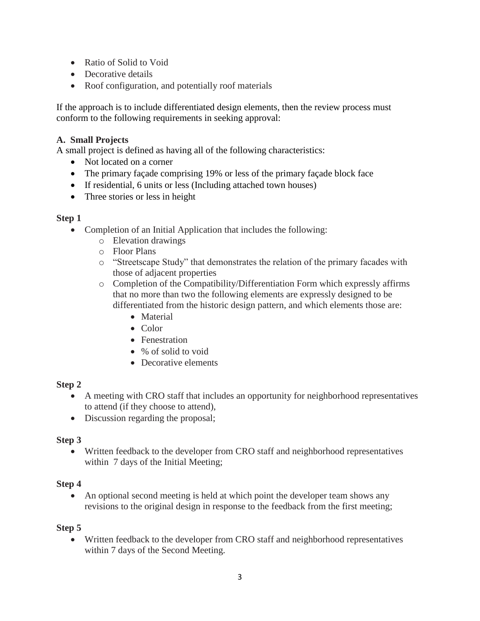- Ratio of Solid to Void
- Decorative details
- Roof configuration, and potentially roof materials

If the approach is to include differentiated design elements, then the review process must conform to the following requirements in seeking approval:

## **A. Small Projects**

A small project is defined as having all of the following characteristics:

- Not located on a corner
- The primary facade comprising 19% or less of the primary facade block face
- If residential, 6 units or less (Including attached town houses)
- Three stories or less in height

## **Step 1**

- Completion of an Initial Application that includes the following:
	- o Elevation drawings
	- o Floor Plans
	- o "Streetscape Study" that demonstrates the relation of the primary facades with those of adjacent properties
	- o Completion of the Compatibility/Differentiation Form which expressly affirms that no more than two the following elements are expressly designed to be differentiated from the historic design pattern, and which elements those are:
		- Material
		- Color
		- Fenestration
		- % of solid to void
		- Decorative elements

## **Step 2**

- A meeting with CRO staff that includes an opportunity for neighborhood representatives to attend (if they choose to attend),
- Discussion regarding the proposal;

### **Step 3**

 Written feedback to the developer from CRO staff and neighborhood representatives within 7 days of the Initial Meeting;

## **Step 4**

• An optional second meeting is held at which point the developer team shows any revisions to the original design in response to the feedback from the first meeting;

## **Step 5**

 Written feedback to the developer from CRO staff and neighborhood representatives within 7 days of the Second Meeting.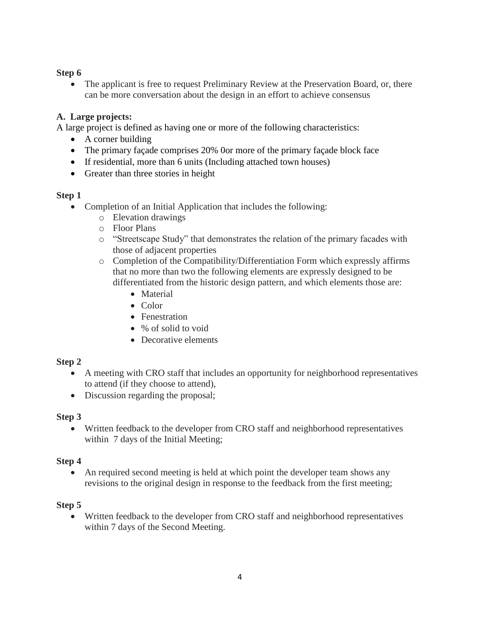## **Step 6**

• The applicant is free to request Preliminary Review at the Preservation Board, or, there can be more conversation about the design in an effort to achieve consensus

## **A. Large projects:**

A large project is defined as having one or more of the following characteristics:

- A corner building
- The primary façade comprises 20% 0or more of the primary façade block face
- If residential, more than 6 units (Including attached town houses)
- Greater than three stories in height

## **Step 1**

- Completion of an Initial Application that includes the following:
	- o Elevation drawings
	- o Floor Plans
	- o "Streetscape Study" that demonstrates the relation of the primary facades with those of adjacent properties
	- o Completion of the Compatibility/Differentiation Form which expressly affirms that no more than two the following elements are expressly designed to be differentiated from the historic design pattern, and which elements those are:
		- Material
		- Color
		- Fenestration
		- % of solid to void
		- Decorative elements

## **Step 2**

- A meeting with CRO staff that includes an opportunity for neighborhood representatives to attend (if they choose to attend),
- Discussion regarding the proposal;

## **Step 3**

 Written feedback to the developer from CRO staff and neighborhood representatives within 7 days of the Initial Meeting;

## **Step 4**

 An required second meeting is held at which point the developer team shows any revisions to the original design in response to the feedback from the first meeting;

## **Step 5**

 Written feedback to the developer from CRO staff and neighborhood representatives within 7 days of the Second Meeting.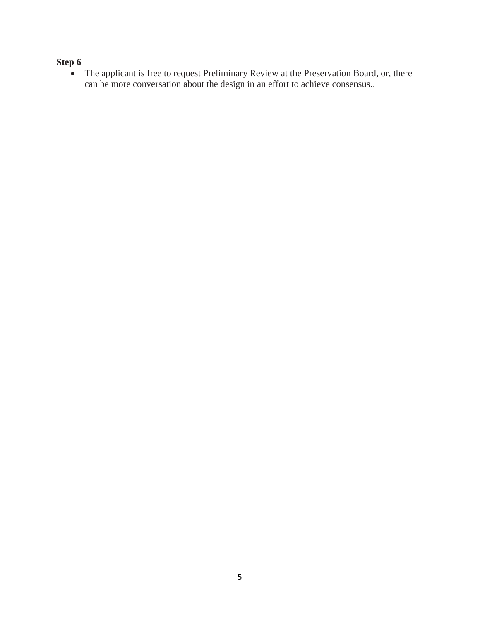## **Step 6**

• The applicant is free to request Preliminary Review at the Preservation Board, or, there can be more conversation about the design in an effort to achieve consensus..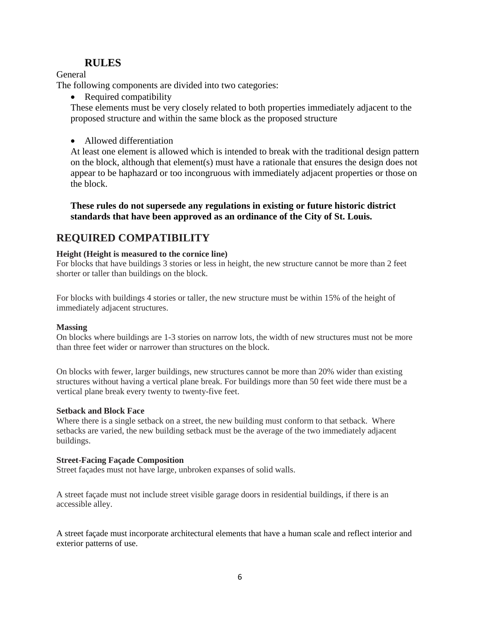## **RULES**

General

The following components are divided into two categories:

• Required compatibility

These elements must be very closely related to both properties immediately adjacent to the proposed structure and within the same block as the proposed structure

• Allowed differentiation

At least one element is allowed which is intended to break with the traditional design pattern on the block, although that element(s) must have a rationale that ensures the design does not appear to be haphazard or too incongruous with immediately adjacent properties or those on the block.

### **These rules do not supersede any regulations in existing or future historic district standards that have been approved as an ordinance of the City of St. Louis.**

## **REQUIRED COMPATIBILITY**

### **Height (Height is measured to the cornice line)**

For blocks that have buildings 3 stories or less in height, the new structure cannot be more than 2 feet shorter or taller than buildings on the block.

For blocks with buildings 4 stories or taller, the new structure must be within 15% of the height of immediately adjacent structures.

#### **Massing**

On blocks where buildings are 1-3 stories on narrow lots, the width of new structures must not be more than three feet wider or narrower than structures on the block.

On blocks with fewer, larger buildings, new structures cannot be more than 20% wider than existing structures without having a vertical plane break. For buildings more than 50 feet wide there must be a vertical plane break every twenty to twenty-five feet.

### **Setback and Block Face**

Where there is a single setback on a street, the new building must conform to that setback. Where setbacks are varied, the new building setback must be the average of the two immediately adjacent buildings.

### **Street-Facing Façade Composition**

Street façades must not have large, unbroken expanses of solid walls.

A street façade must not include street visible garage doors in residential buildings, if there is an accessible alley.

A street façade must incorporate architectural elements that have a human scale and reflect interior and exterior patterns of use.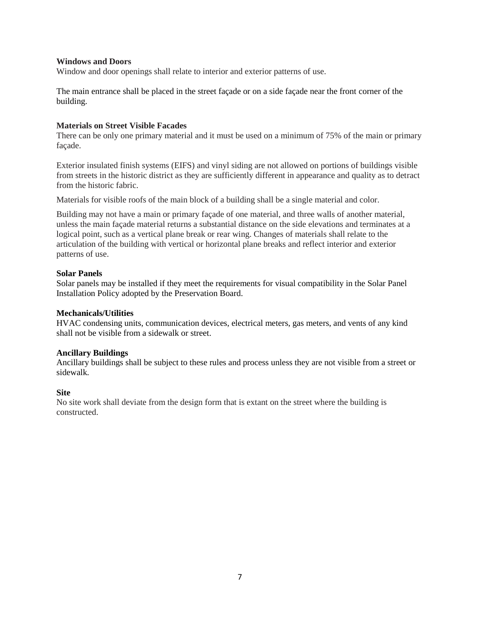#### **Windows and Doors**

Window and door openings shall relate to interior and exterior patterns of use.

The main entrance shall be placed in the street façade or on a side façade near the front corner of the building.

#### **Materials on Street Visible Facades**

There can be only one primary material and it must be used on a minimum of 75% of the main or primary façade.

Exterior insulated finish systems (EIFS) and vinyl siding are not allowed on portions of buildings visible from streets in the historic district as they are sufficiently different in appearance and quality as to detract from the historic fabric.

Materials for visible roofs of the main block of a building shall be a single material and color.

Building may not have a main or primary façade of one material, and three walls of another material, unless the main façade material returns a substantial distance on the side elevations and terminates at a logical point, such as a vertical plane break or rear wing. Changes of materials shall relate to the articulation of the building with vertical or horizontal plane breaks and reflect interior and exterior patterns of use.

#### **Solar Panels**

Solar panels may be installed if they meet the requirements for visual compatibility in the Solar Panel Installation Policy adopted by the Preservation Board.

#### **Mechanicals/Utilities**

HVAC condensing units, communication devices, electrical meters, gas meters, and vents of any kind shall not be visible from a sidewalk or street.

#### **Ancillary Buildings**

Ancillary buildings shall be subject to these rules and process unless they are not visible from a street or sidewalk.

#### **Site**

No site work shall deviate from the design form that is extant on the street where the building is constructed.